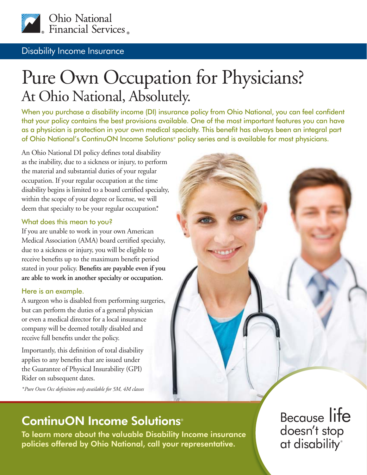

#### Disability Income Insurance

# Pure Own Occupation for Physicians? At Ohio National, Absolutely.

When you purchase a disability income (DI) insurance policy from Ohio National, you can feel confident that your policy contains the best provisions available. One of the most important features you can have as a physician is protection in your own medical specialty. This benefit has always been an integral part of Ohio National's ContinuON Income Solutions® policy series and is available for most physicians.

An Ohio National DI policy defines total disability as the inability, due to a sickness or injury, to perform the material and substantial duties of your regular occupation. If your regular occupation at the time disability begins is limited to a board certified specialty, within the scope of your degree or license, we will deem that specialty to be your regular occupation\*.

#### What does this mean to you?

If you are unable to work in your own American Medical Association (AMA) board certified specialty, due to a sickness or injury, you will be eligible to receive benefits up to the maximum benefit period stated in your policy. Benefits are payable even if you **are able to work in another specialty or occupation.**

#### Here is an example.

A surgeon who is disabled from performing surgeries, but can perform the duties of a general physician or even a medical director for a local insurance company will be deemed totally disabled and receive full benefits under the policy.

Importantly, this definition of total disability applies to any benefits that are issued under the Guarantee of Physical Insurability (GPI) Rider on subsequent dates.

*\* Pure Own Occ defi nition only available for 5M, 4M classes*



## ContinuON Income Solutions®

To learn more about the valuable Disability Income insurance policies offered by Ohio National, call your representative.

Because life doesn't stop at disability®